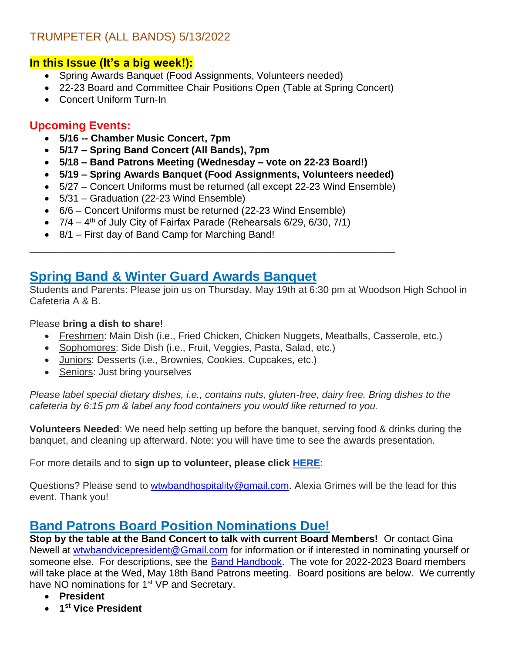#### TRUMPETER (ALL BANDS) 5/13/2022

#### **In this Issue (It's a big week!):**

- Spring Awards Banquet (Food Assignments, Volunteers needed)
- 22-23 Board and Committee Chair Positions Open (Table at Spring Concert)
- Concert Uniform Turn-In

#### **Upcoming Events:**

- **5/16 -- Chamber Music Concert, 7pm**
- **5/17 – Spring Band Concert (All Bands), 7pm**
- **5/18 – Band Patrons Meeting (Wednesday – vote on 22-23 Board!)**
- **5/19 – Spring Awards Banquet (Food Assignments, Volunteers needed)**

\_\_\_\_\_\_\_\_\_\_\_\_\_\_\_\_\_\_\_\_\_\_\_\_\_\_\_\_\_\_\_\_\_\_\_\_\_\_\_\_\_\_\_\_\_\_\_\_\_\_\_\_\_\_\_\_\_

- 5/27 Concert Uniforms must be returned (all except 22-23 Wind Ensemble)
- 5/31 Graduation (22-23 Wind Ensemble)
- 6/6 Concert Uniforms must be returned (22-23 Wind Ensemble)
- $\bullet$  7/4 4<sup>th</sup> of July City of Fairfax Parade (Rehearsals 6/29, 6/30, 7/1)
- 8/1 First day of Band Camp for Marching Band!

### **Spring Band & Winter Guard Awards Banquet**

Students and Parents: Please join us on Thursday, May 19th at 6:30 pm at Woodson High School in Cafeteria A & B.

#### Please **bring a dish to share**!

- Freshmen: Main Dish (i.e., Fried Chicken, Chicken Nuggets, Meatballs, Casserole, etc.)
- Sophomores: Side Dish (i.e., Fruit, Veggies, Pasta, Salad, etc.)
- Juniors: Desserts (i.e., Brownies, Cookies, Cupcakes, etc.)
- Seniors: Just bring yourselves

*Please label special dietary dishes, i.e., contains nuts, gluten-free, dairy free. Bring dishes to the cafeteria by 6:15 pm & label any food containers you would like returned to you.*

**Volunteers Needed**: We need help setting up before the banquet, serving food & drinks during the banquet, and cleaning up afterward. Note: you will have time to see the awards presentation.

For more details and to **sign up to volunteer, please click [HERE](https://www.signupgenius.com/go/4090e44acae2fa02-spring)**:

Questions? Please send to [wtwbandhospitality@gmail.com.](mailto:wtwbandhospitality@gmail.com) Alexia Grimes will be the lead for this event. Thank you!

## **Band Patrons Board Position Nominations Due!**

**Stop by the table at the Band Concert to talk with current Board Members!** Or contact Gina Newell at [wtwbandvicepresident@Gmail.com](mailto:wtwbandvicepresident@Gmail.com) for information or if interested in nominating yourself or someone else. For descriptions, see the [Band Handbook.](https://www.woodsonband.org/wp-content/uploads/2017/12/ParentHandbook.pdf) The vote for 2022-2023 Board members will take place at the Wed, May 18th Band Patrons meeting. Board positions are below. We currently have NO nominations for 1<sup>st</sup> VP and Secretary.

- **President**
- **1 st Vice President**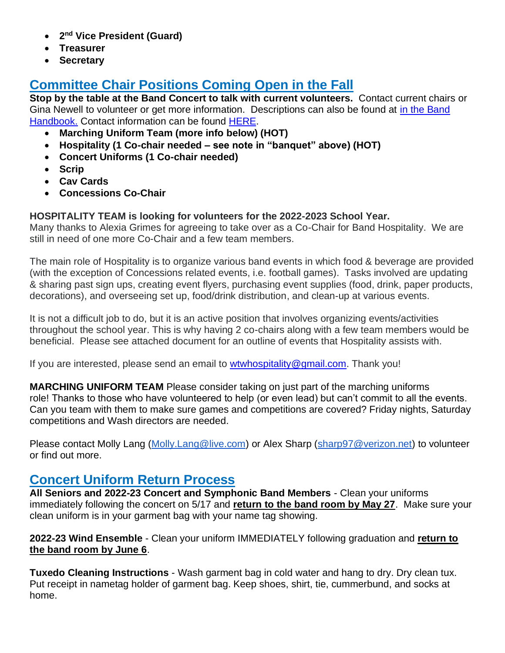- **2 nd Vice President (Guard)**
- **Treasurer**
- **Secretary**

# **Committee Chair Positions Coming Open in the Fall**

**Stop by the table at the Band Concert to talk with current volunteers.** Contact current chairs or Gina Newell to volunteer or get more information. Descriptions can also be found at in the Band [Handbook.](https://www.woodsonband.org/wp-content/uploads/2017/12/ParentHandbook.pdf) Contact information can be found [HERE.](https://www.woodsonband.org/contact-info/)

- **Marching Uniform Team (more info below) (HOT)**
- **Hospitality (1 Co-chair needed – see note in "banquet" above) (HOT)**
- **Concert Uniforms (1 Co-chair needed)**
- **Scrip**
- **Cav Cards**
- **Concessions Co-Chair**

#### **HOSPITALITY TEAM is looking for volunteers for the 2022-2023 School Year.**

Many thanks to Alexia Grimes for agreeing to take over as a Co-Chair for Band Hospitality. We are still in need of one more Co-Chair and a few team members.

The main role of Hospitality is to organize various band events in which food & beverage are provided (with the exception of Concessions related events, i.e. football games). Tasks involved are updating & sharing past sign ups, creating event flyers, purchasing event supplies (food, drink, paper products, decorations), and overseeing set up, food/drink distribution, and clean-up at various events.

It is not a difficult job to do, but it is an active position that involves organizing events/activities throughout the school year. This is why having 2 co-chairs along with a few team members would be beneficial. Please see attached document for an outline of events that Hospitality assists with.

If you are interested, please send an email to [wtwhospitality@gmail.com.](mailto:wtwhospitality@gmail.com) Thank you!

**MARCHING UNIFORM TEAM** Please consider taking on just part of the marching uniforms role! Thanks to those who have volunteered to help (or even lead) but can't commit to all the events. Can you team with them to make sure games and competitions are covered? Friday nights, Saturday competitions and Wash directors are needed.

Please contact Molly Lang [\(Molly.Lang@live.com\)](mailto:Molly.Lang@live.com) or Alex Sharp [\(sharp97@verizon.net\)](mailto:sharp97@verizon.net) to volunteer or find out more.

## **Concert Uniform Return Process**

**All Seniors and 2022-23 Concert and Symphonic Band Members** - Clean your uniforms immediately following the concert on 5/17 and **return to the band room by May 27**. Make sure your clean uniform is in your garment bag with your name tag showing.

**2022-23 Wind Ensemble** - Clean your uniform IMMEDIATELY following graduation and **return to the band room by June 6**.

**Tuxedo Cleaning Instructions** - Wash garment bag in cold water and hang to dry. Dry clean tux. Put receipt in nametag holder of garment bag. Keep shoes, shirt, tie, cummerbund, and socks at home.